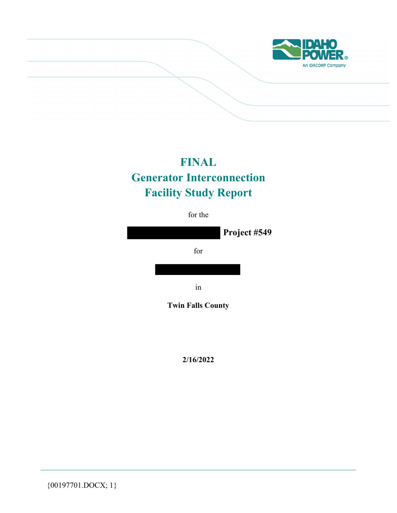

# **FINAL Generator Interconnection Facility Study Report**

for the



**2/16/2022** 

{00197701.DOCX; 1}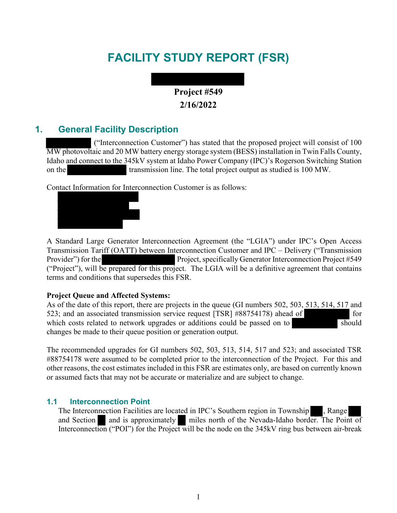# **FACILITY STUDY REPORT (FSR)**

# **Project #549 2/16/2022**

# **1. General Facility Description**

 ("Interconnection Customer") has stated that the proposed project will consist of 100 MW photovoltaic and 20 MW battery energy storage system (BESS) installation in Twin Falls County, Idaho and connect to the 345kV system at Idaho Power Company (IPC)'s Rogerson Switching Station on the transmission line. The total project output as studied is 100 MW.

Contact Information for Interconnection Customer is as follows:



A Standard Large Generator Interconnection Agreement (the "LGIA") under IPC's Open Access Transmission Tariff (OATT) between Interconnection Customer and IPC – Delivery ("Transmission Provider") for the Project, specifically Generator Interconnection Project #549 ("Project"), will be prepared for this project. The LGIA will be a definitive agreement that contains terms and conditions that supersedes this FSR.

## **Project Queue and Affected Systems:**

As of the date of this report, there are projects in the queue (GI numbers 502, 503, 513, 514, 517 and 523; and an associated transmission service request [TSR] #88754178) ahead of for which costs related to network upgrades or additions could be passed on to should changes be made to their queue position or generation output.

The recommended upgrades for GI numbers 502, 503, 513, 514, 517 and 523; and associated TSR #88754178 were assumed to be completed prior to the interconnection of the Project. For this and other reasons, the cost estimates included in this FSR are estimates only, are based on currently known or assumed facts that may not be accurate or materialize and are subject to change.

## **1.1 Interconnection Point**

The Interconnection Facilities are located in IPC's Southern region in Township , Range and Section and is approximately miles north of the Nevada-Idaho border. The Point of Interconnection ("POI") for the Project will be the node on the 345kV ring bus between air-break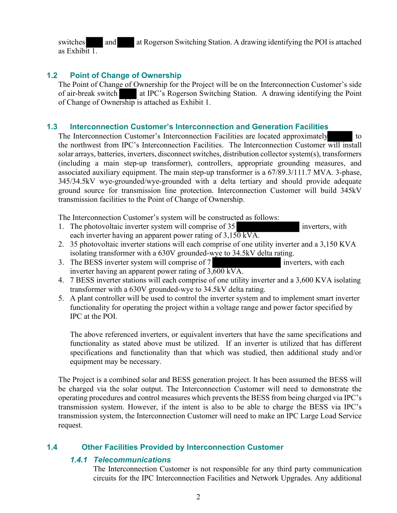switches and at Rogerson Switching Station. A drawing identifying the POI is attached as Exhibit 1.

## **1.2 Point of Change of Ownership**

The Point of Change of Ownership for the Project will be on the Interconnection Customer's side of air-break switch at IPC's Rogerson Switching Station. A drawing identifying the Point of Change of Ownership is attached as Exhibit 1.

### **1.3 Interconnection Customer's Interconnection and Generation Facilities**

The Interconnection Customer's Interconnection Facilities are located approximately to the northwest from IPC's Interconnection Facilities. The Interconnection Customer will install solar arrays, batteries, inverters, disconnect switches, distribution collector system(s), transformers (including a main step-up transformer), controllers, appropriate grounding measures, and associated auxiliary equipment. The main step-up transformer is a 67/89.3/111.7 MVA. 3-phase, 345/34.5kV wye-grounded/wye-grounded with a delta tertiary and should provide adequate ground source for transmission line protection. Interconnection Customer will build 345kV transmission facilities to the Point of Change of Ownership.

The Interconnection Customer's system will be constructed as follows:

- 1. The photovoltaic inverter system will comprise of 35 inverters, with each inverter having an apparent power rating of  $3,150 \text{ kVA}$ .
- 2. 35 photovoltaic inverter stations will each comprise of one utility inverter and a 3,150 KVA isolating transformer with a 630V grounded-wye to 34.5kV delta rating.
- 3. The BESS inverter system will comprise of 7 inverters, with each inverter having an apparent power rating of  $3,600 \text{ kVA}$ .
- 4. 7 BESS inverter stations will each comprise of one utility inverter and a 3,600 KVA isolating transformer with a 630V grounded-wye to 34.5kV delta rating.
- 5. A plant controller will be used to control the inverter system and to implement smart inverter functionality for operating the project within a voltage range and power factor specified by IPC at the POI.

The above referenced inverters, or equivalent inverters that have the same specifications and functionality as stated above must be utilized. If an inverter is utilized that has different specifications and functionality than that which was studied, then additional study and/or equipment may be necessary.

The Project is a combined solar and BESS generation project. It has been assumed the BESS will be charged via the solar output. The Interconnection Customer will need to demonstrate the operating procedures and control measures which prevents the BESS from being charged via IPC's transmission system. However, if the intent is also to be able to charge the BESS via IPC's transmission system, the Interconnection Customer will need to make an IPC Large Load Service request.

# **1.4 Other Facilities Provided by Interconnection Customer**

## *1.4.1 Telecommunications*

The Interconnection Customer is not responsible for any third party communication circuits for the IPC Interconnection Facilities and Network Upgrades. Any additional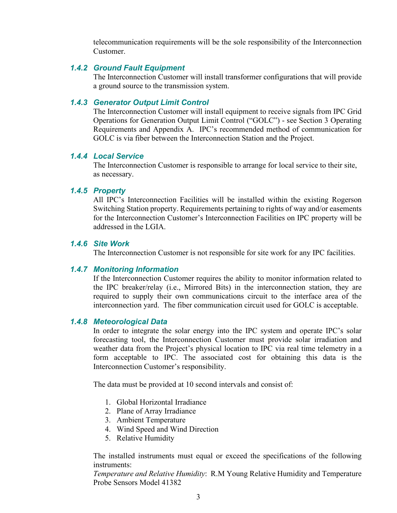telecommunication requirements will be the sole responsibility of the Interconnection Customer.

#### *1.4.2 Ground Fault Equipment*

The Interconnection Customer will install transformer configurations that will provide a ground source to the transmission system.

### *1.4.3 Generator Output Limit Control*

The Interconnection Customer will install equipment to receive signals from IPC Grid Operations for Generation Output Limit Control ("GOLC") - see Section 3 Operating Requirements and Appendix A. IPC's recommended method of communication for GOLC is via fiber between the Interconnection Station and the Project.

#### *1.4.4 Local Service*

The Interconnection Customer is responsible to arrange for local service to their site, as necessary.

#### *1.4.5 Property*

All IPC's Interconnection Facilities will be installed within the existing Rogerson Switching Station property. Requirements pertaining to rights of way and/or easements for the Interconnection Customer's Interconnection Facilities on IPC property will be addressed in the LGIA.

#### *1.4.6 Site Work*

The Interconnection Customer is not responsible for site work for any IPC facilities.

#### *1.4.7 Monitoring Information*

If the Interconnection Customer requires the ability to monitor information related to the IPC breaker/relay (i.e., Mirrored Bits) in the interconnection station, they are required to supply their own communications circuit to the interface area of the interconnection yard. The fiber communication circuit used for GOLC is acceptable.

#### *1.4.8 Meteorological Data*

In order to integrate the solar energy into the IPC system and operate IPC's solar forecasting tool, the Interconnection Customer must provide solar irradiation and weather data from the Project's physical location to IPC via real time telemetry in a form acceptable to IPC. The associated cost for obtaining this data is the Interconnection Customer's responsibility.

The data must be provided at 10 second intervals and consist of:

- 1. Global Horizontal Irradiance
- 2. Plane of Array Irradiance
- 3. Ambient Temperature
- 4. Wind Speed and Wind Direction
- 5. Relative Humidity

The installed instruments must equal or exceed the specifications of the following instruments:

*Temperature and Relative Humidity*: R.M Young Relative Humidity and Temperature Probe Sensors Model 41382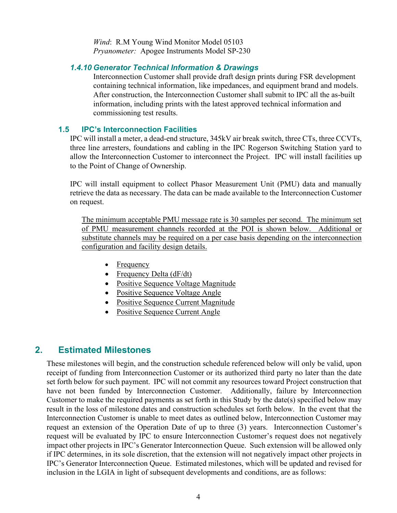*Wind*: R.M Young Wind Monitor Model 05103 *Pryanometer:* Apogee Instruments Model SP-230

#### *1.4.10 Generator Technical Information & Drawings*

Interconnection Customer shall provide draft design prints during FSR development containing technical information, like impedances, and equipment brand and models. After construction, the Interconnection Customer shall submit to IPC all the as-built information, including prints with the latest approved technical information and commissioning test results.

#### **1.5 IPC's Interconnection Facilities**

IPC will install a meter, a dead-end structure, 345kV air break switch, three CTs, three CCVTs, three line arresters, foundations and cabling in the IPC Rogerson Switching Station yard to allow the Interconnection Customer to interconnect the Project. IPC will install facilities up to the Point of Change of Ownership.

IPC will install equipment to collect Phasor Measurement Unit (PMU) data and manually retrieve the data as necessary. The data can be made available to the Interconnection Customer on request.

The minimum acceptable PMU message rate is 30 samples per second. The minimum set of PMU measurement channels recorded at the POI is shown below. Additional or substitute channels may be required on a per case basis depending on the interconnection configuration and facility design details.

- Frequency
- Frequency Delta (dF/dt)
- Positive Sequence Voltage Magnitude
- Positive Sequence Voltage Angle
- Positive Sequence Current Magnitude
- Positive Sequence Current Angle

# **2. Estimated Milestones**

These milestones will begin, and the construction schedule referenced below will only be valid, upon receipt of funding from Interconnection Customer or its authorized third party no later than the date set forth below for such payment. IPC will not commit any resources toward Project construction that have not been funded by Interconnection Customer. Additionally, failure by Interconnection Customer to make the required payments as set forth in this Study by the date(s) specified below may result in the loss of milestone dates and construction schedules set forth below. In the event that the Interconnection Customer is unable to meet dates as outlined below, Interconnection Customer may request an extension of the Operation Date of up to three (3) years. Interconnection Customer's request will be evaluated by IPC to ensure Interconnection Customer's request does not negatively impact other projects in IPC's Generator Interconnection Queue. Such extension will be allowed only if IPC determines, in its sole discretion, that the extension will not negatively impact other projects in IPC's Generator Interconnection Queue. Estimated milestones, which will be updated and revised for inclusion in the LGIA in light of subsequent developments and conditions, are as follows: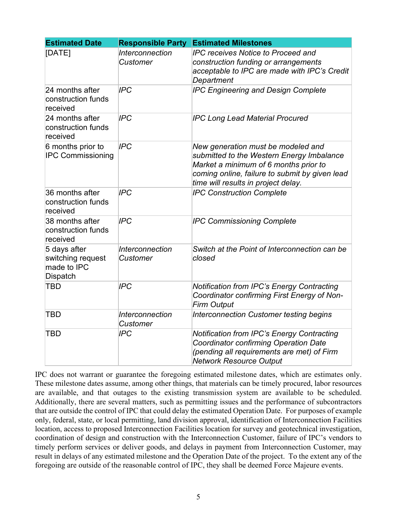| <b>Estimated Date</b>                                               | <b>Responsible Party</b>                  | <b>Estimated Milestones</b>                                                                                                                                                                                       |
|---------------------------------------------------------------------|-------------------------------------------|-------------------------------------------------------------------------------------------------------------------------------------------------------------------------------------------------------------------|
| [DATE]                                                              | <b>Interconnection</b><br>Customer        | <b>IPC receives Notice to Proceed and</b><br>construction funding or arrangements<br>acceptable to IPC are made with IPC's Credit<br>Department                                                                   |
| 24 months after<br>construction funds<br>received                   | <b>IPC</b>                                | <b>IPC Engineering and Design Complete</b>                                                                                                                                                                        |
| 24 months after<br>construction funds<br>received                   | <b>IPC</b>                                | <b>IPC Long Lead Material Procured</b>                                                                                                                                                                            |
| 6 months prior to<br><b>IPC Commissioning</b>                       | <b>IPC</b>                                | New generation must be modeled and<br>submitted to the Western Energy Imbalance<br>Market a minimum of 6 months prior to<br>coming online, failure to submit by given lead<br>time will results in project delay. |
| 36 months after<br>construction funds<br>received                   | <b>IPC</b>                                | <b>IPC Construction Complete</b>                                                                                                                                                                                  |
| 38 months after<br>construction funds<br>received                   | <b>IPC</b>                                | <b>IPC Commissioning Complete</b>                                                                                                                                                                                 |
| 5 days after<br>switching request<br>made to IPC<br><b>Dispatch</b> | Interconnection<br>Customer               | Switch at the Point of Interconnection can be<br>closed                                                                                                                                                           |
| <b>TBD</b>                                                          | <b>IPC</b>                                | <b>Notification from IPC's Energy Contracting</b><br>Coordinator confirming First Energy of Non-<br><b>Firm Output</b>                                                                                            |
| <b>TBD</b>                                                          | <b>Interconnection</b><br><b>Customer</b> | Interconnection Customer testing begins                                                                                                                                                                           |
| TBD                                                                 | <b>IPC</b>                                | <b>Notification from IPC's Energy Contracting</b><br><b>Coordinator confirming Operation Date</b><br>(pending all requirements are met) of Firm<br><b>Network Resource Output</b>                                 |

IPC does not warrant or guarantee the foregoing estimated milestone dates, which are estimates only. These milestone dates assume, among other things, that materials can be timely procured, labor resources are available, and that outages to the existing transmission system are available to be scheduled. Additionally, there are several matters, such as permitting issues and the performance of subcontractors that are outside the control of IPC that could delay the estimated Operation Date. For purposes of example only, federal, state, or local permitting, land division approval, identification of Interconnection Facilities location, access to proposed Interconnection Facilities location for survey and geotechnical investigation, coordination of design and construction with the Interconnection Customer, failure of IPC's vendors to timely perform services or deliver goods, and delays in payment from Interconnection Customer, may result in delays of any estimated milestone and the Operation Date of the project. To the extent any of the foregoing are outside of the reasonable control of IPC, they shall be deemed Force Majeure events.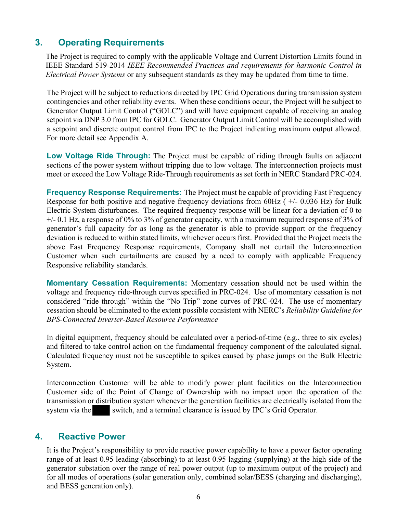# **3. Operating Requirements**

The Project is required to comply with the applicable Voltage and Current Distortion Limits found in IEEE Standard 519-2014 *IEEE Recommended Practices and requirements for harmonic Control in Electrical Power Systems* or any subsequent standards as they may be updated from time to time.

The Project will be subject to reductions directed by IPC Grid Operations during transmission system contingencies and other reliability events. When these conditions occur, the Project will be subject to Generator Output Limit Control ("GOLC") and will have equipment capable of receiving an analog setpoint via DNP 3.0 from IPC for GOLC. Generator Output Limit Control will be accomplished with a setpoint and discrete output control from IPC to the Project indicating maximum output allowed. For more detail see Appendix A.

**Low Voltage Ride Through:** The Project must be capable of riding through faults on adjacent sections of the power system without tripping due to low voltage. The interconnection projects must meet or exceed the Low Voltage Ride-Through requirements as set forth in NERC Standard PRC-024.

**Frequency Response Requirements:** The Project must be capable of providing Fast Frequency Response for both positive and negative frequency deviations from 60Hz ( +/- 0.036 Hz) for Bulk Electric System disturbances. The required frequency response will be linear for a deviation of 0 to +/- 0.1 Hz, a response of 0% to 3% of generator capacity, with a maximum required response of 3% of generator's full capacity for as long as the generator is able to provide support or the frequency deviation is reduced to within stated limits, whichever occurs first. Provided that the Project meets the above Fast Frequency Response requirements, Company shall not curtail the Interconnection Customer when such curtailments are caused by a need to comply with applicable Frequency Responsive reliability standards.

**Momentary Cessation Requirements:** Momentary cessation should not be used within the voltage and frequency ride-through curves specified in PRC-024. Use of momentary cessation is not considered "ride through" within the "No Trip" zone curves of PRC-024. The use of momentary cessation should be eliminated to the extent possible consistent with NERC's *Reliability Guideline for BPS-Connected Inverter-Based Resource Performance*

In digital equipment, frequency should be calculated over a period-of-time (e.g., three to six cycles) and filtered to take control action on the fundamental frequency component of the calculated signal. Calculated frequency must not be susceptible to spikes caused by phase jumps on the Bulk Electric System.

Interconnection Customer will be able to modify power plant facilities on the Interconnection Customer side of the Point of Change of Ownership with no impact upon the operation of the transmission or distribution system whenever the generation facilities are electrically isolated from the system via the switch, and a terminal clearance is issued by IPC's Grid Operator.

# **4. Reactive Power**

It is the Project's responsibility to provide reactive power capability to have a power factor operating range of at least 0.95 leading (absorbing) to at least 0.95 lagging (supplying) at the high side of the generator substation over the range of real power output (up to maximum output of the project) and for all modes of operations (solar generation only, combined solar/BESS (charging and discharging), and BESS generation only).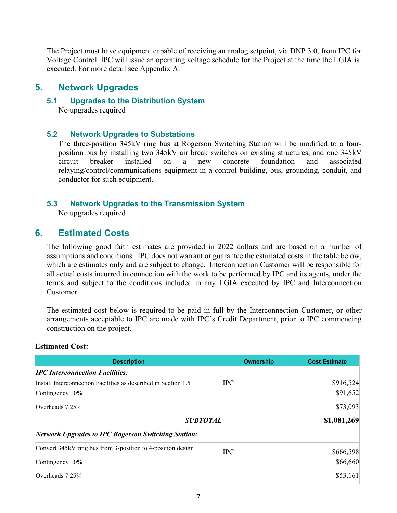The Project must have equipment capable of receiving an analog setpoint, via DNP 3.0, from IPC for Voltage Control. IPC will issue an operating voltage schedule for the Project at the time the LGIA is executed. For more detail see Appendix A.

# **5. Network Upgrades**

#### **5.1 Upgrades to the Distribution System**

No upgrades required

## **5.2 Network Upgrades to Substations**

The three-position 345kV ring bus at Rogerson Switching Station will be modified to a fourposition bus by installing two 345kV air break switches on existing structures, and one 345kV circuit breaker installed on a new concrete foundation and associated relaying/control/communications equipment in a control building, bus, grounding, conduit, and conductor for such equipment.

# **5.3 Network Upgrades to the Transmission System**

No upgrades required

# **6. Estimated Costs**

The following good faith estimates are provided in 2022 dollars and are based on a number of assumptions and conditions. IPC does not warrant or guarantee the estimated costs in the table below, which are estimates only and are subject to change. Interconnection Customer will be responsible for all actual costs incurred in connection with the work to be performed by IPC and its agents, under the terms and subject to the conditions included in any LGIA executed by IPC and Interconnection Customer.

The estimated cost below is required to be paid in full by the Interconnection Customer, or other arrangements acceptable to IPC are made with IPC's Credit Department, prior to IPC commencing construction on the project.

| <b>Description</b>                                             | <b>Ownership</b> | <b>Cost Estimate</b> |
|----------------------------------------------------------------|------------------|----------------------|
| <b>IPC Interconnection Facilities:</b>                         |                  |                      |
| Install Interconnection Facilities as described in Section 1.5 | <b>IPC</b>       | \$916,524            |
| Contingency 10%                                                |                  | \$91,652             |
| Overheads $7.25%$                                              |                  | \$73,093             |
| <b>SUBTOTAL</b>                                                |                  | \$1,081,269          |
| <b>Network Upgrades to IPC Rogerson Switching Station:</b>     |                  |                      |
| Convert 345kV ring bus from 3-position to 4-position design    | <b>IPC</b>       | \$666,598            |
| Contingency 10%                                                |                  | \$66,660             |
| Overheads $7.25%$                                              |                  | \$53,161             |

## **Estimated Cost:**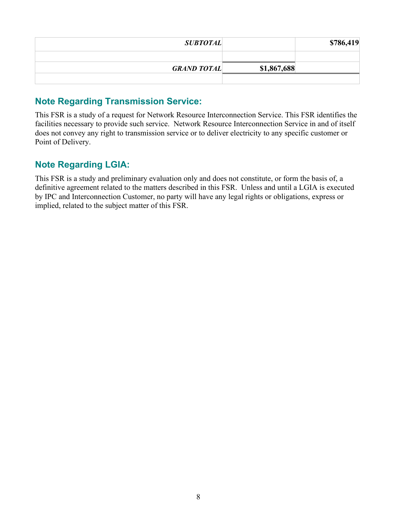| <b>SUBTOTAL</b>    |             | \$786,419 |
|--------------------|-------------|-----------|
|                    |             |           |
| <b>GRAND TOTAL</b> | \$1,867,688 |           |
|                    |             |           |

# **Note Regarding Transmission Service:**

This FSR is a study of a request for Network Resource Interconnection Service. This FSR identifies the facilities necessary to provide such service. Network Resource Interconnection Service in and of itself does not convey any right to transmission service or to deliver electricity to any specific customer or Point of Delivery.

# **Note Regarding LGIA:**

This FSR is a study and preliminary evaluation only and does not constitute, or form the basis of, a definitive agreement related to the matters described in this FSR. Unless and until a LGIA is executed by IPC and Interconnection Customer, no party will have any legal rights or obligations, express or implied, related to the subject matter of this FSR.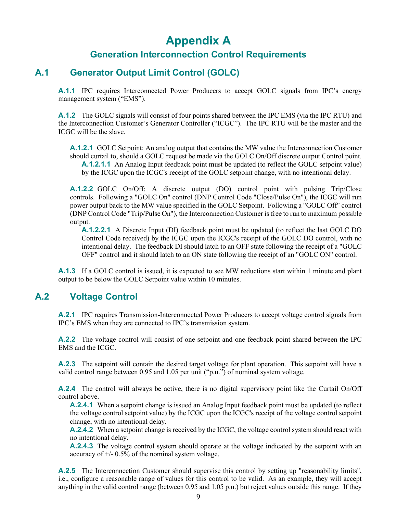# **Appendix A**

# **Generation Interconnection Control Requirements**

# **A.1 Generator Output Limit Control (GOLC)**

A.1.1 IPC requires Interconnected Power Producers to accept GOLC signals from IPC's energy management system ("EMS").

**A.1.2** The GOLC signals will consist of four points shared between the IPC EMS (via the IPC RTU) and the Interconnection Customer's Generator Controller ("ICGC"). The IPC RTU will be the master and the ICGC will be the slave.

**A.1.2.1** GOLC Setpoint: An analog output that contains the MW value the Interconnection Customer should curtail to, should a GOLC request be made via the GOLC On/Off discrete output Control point. **A.1.2.1.1** An Analog Input feedback point must be updated (to reflect the GOLC setpoint value) by the ICGC upon the ICGC's receipt of the GOLC setpoint change, with no intentional delay.

**A.1.2.2** GOLC On/Off: A discrete output (DO) control point with pulsing Trip/Close controls. Following a "GOLC On" control (DNP Control Code "Close/Pulse On"), the ICGC will run power output back to the MW value specified in the GOLC Setpoint. Following a "GOLC Off" control (DNP Control Code "Trip/Pulse On"), the Interconnection Customer is free to run to maximum possible output.

**A.1.2.2.1** A Discrete Input (DI) feedback point must be updated (to reflect the last GOLC DO Control Code received) by the ICGC upon the ICGC's receipt of the GOLC DO control, with no intentional delay. The feedback DI should latch to an OFF state following the receipt of a "GOLC OFF" control and it should latch to an ON state following the receipt of an "GOLC ON" control.

**A.1.3** If a GOLC control is issued, it is expected to see MW reductions start within 1 minute and plant output to be below the GOLC Setpoint value within 10 minutes.

# **A.2 Voltage Control**

**A.2.1** IPC requires Transmission-Interconnected Power Producers to accept voltage control signals from IPC's EMS when they are connected to IPC's transmission system.

**A.2.2** The voltage control will consist of one setpoint and one feedback point shared between the IPC EMS and the ICGC.

**A.2.3** The setpoint will contain the desired target voltage for plant operation. This setpoint will have a valid control range between 0.95 and 1.05 per unit ("p.u.") of nominal system voltage.

**A.2.4** The control will always be active, there is no digital supervisory point like the Curtail On/Off control above.

**A.2.4.1** When a setpoint change is issued an Analog Input feedback point must be updated (to reflect the voltage control setpoint value) by the ICGC upon the ICGC's receipt of the voltage control setpoint change, with no intentional delay.

**A.2.4.2** When a setpoint change is received by the ICGC, the voltage control system should react with no intentional delay.

**A.2.4.3** The voltage control system should operate at the voltage indicated by the setpoint with an accuracy of  $+/- 0.5\%$  of the nominal system voltage.

**A.2.5** The Interconnection Customer should supervise this control by setting up "reasonability limits", i.e., configure a reasonable range of values for this control to be valid. As an example, they will accept anything in the valid control range (between 0.95 and 1.05 p.u.) but reject values outside this range. If they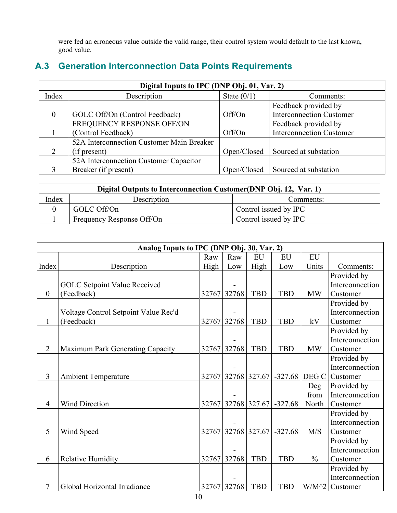were fed an erroneous value outside the valid range, their control system would default to the last known, good value.

# **A.3 Generation Interconnection Data Points Requirements**

| Digital Inputs to IPC (DNP Obj. 01, Var. 2) |                                           |               |                                 |  |  |  |  |  |
|---------------------------------------------|-------------------------------------------|---------------|---------------------------------|--|--|--|--|--|
| Index                                       | Description                               | State $(0/1)$ | Comments:                       |  |  |  |  |  |
|                                             |                                           |               | Feedback provided by            |  |  |  |  |  |
| $\Omega$                                    | GOLC Off/On (Control Feedback)            | Off/On        | <b>Interconnection Customer</b> |  |  |  |  |  |
|                                             | FREQUENCY RESPONSE OFF/ON                 |               | Feedback provided by            |  |  |  |  |  |
|                                             | (Control Feedback)                        | Off/On        | <b>Interconnection Customer</b> |  |  |  |  |  |
|                                             | 52A Interconnection Customer Main Breaker |               |                                 |  |  |  |  |  |
|                                             | (if present)                              | Open/Closed   | Sourced at substation           |  |  |  |  |  |
|                                             | 52A Interconnection Customer Capacitor    |               |                                 |  |  |  |  |  |
|                                             | Breaker (if present)                      | Open/Closed   | Sourced at substation           |  |  |  |  |  |

| Digital Outputs to Interconnection Customer (DNP Obj. 12, Var. 1) |                           |                       |  |  |  |  |  |
|-------------------------------------------------------------------|---------------------------|-----------------------|--|--|--|--|--|
| Index<br>Description<br>Comments:                                 |                           |                       |  |  |  |  |  |
|                                                                   | GOLC Off/On               | Control issued by IPC |  |  |  |  |  |
|                                                                   | Frequency Response Off/On | Control issued by IPC |  |  |  |  |  |

| Analog Inputs to IPC (DNP Obj. 30, Var. 2) |                                      |             |             |            |            |               |                 |  |
|--------------------------------------------|--------------------------------------|-------------|-------------|------------|------------|---------------|-----------------|--|
|                                            |                                      | Raw         | Raw         | EU         | EU         | EU            |                 |  |
| Index                                      | Description                          | High        | Low         | High       | Low        | Units         | Comments:       |  |
|                                            |                                      |             |             |            |            |               | Provided by     |  |
|                                            | <b>GOLC Setpoint Value Received</b>  |             |             |            |            |               | Interconnection |  |
| $\theta$                                   | (Feedback)                           | 32767       | 32768       | <b>TBD</b> | <b>TBD</b> | <b>MW</b>     | Customer        |  |
|                                            |                                      |             |             |            |            |               | Provided by     |  |
|                                            | Voltage Control Setpoint Value Rec'd |             |             |            |            |               | Interconnection |  |
| $\mathbf{1}$                               | (Feedback)                           | 32767       | 32768       | <b>TBD</b> | <b>TBD</b> | kV            | Customer        |  |
|                                            |                                      |             |             |            |            |               | Provided by     |  |
|                                            |                                      |             |             |            |            |               | Interconnection |  |
| $\overline{2}$                             | Maximum Park Generating Capacity     |             | 32767 32768 | <b>TBD</b> | <b>TBD</b> | <b>MW</b>     | Customer        |  |
|                                            |                                      |             |             |            |            |               | Provided by     |  |
|                                            |                                      |             |             |            |            |               | Interconnection |  |
| 3                                          | <b>Ambient Temperature</b>           | 32767       | 32768       | 327.67     | $-327.68$  | DEG C         | Customer        |  |
|                                            |                                      |             |             |            |            | Deg           | Provided by     |  |
|                                            |                                      |             |             |            |            | from          | Interconnection |  |
| $\overline{4}$                             | <b>Wind Direction</b>                | 32767       | 32768       | 327.67     | $-327.68$  | North         | Customer        |  |
|                                            |                                      |             |             |            |            |               | Provided by     |  |
|                                            |                                      |             |             |            |            |               | Interconnection |  |
| 5                                          | Wind Speed                           |             | 32767 32768 | 327.67     | $-327.68$  | M/S           | Customer        |  |
|                                            |                                      |             |             |            |            |               | Provided by     |  |
|                                            |                                      |             |             |            |            |               | Interconnection |  |
| 6                                          | <b>Relative Humidity</b>             | 32767 32768 |             | <b>TBD</b> | <b>TBD</b> | $\frac{0}{0}$ | Customer        |  |
|                                            |                                      |             |             |            |            |               | Provided by     |  |
|                                            |                                      |             |             |            |            |               | Interconnection |  |
| $\overline{7}$                             | Global Horizontal Irradiance         |             | 32767 32768 | <b>TBD</b> | <b>TBD</b> | $W/M^2$       | Customer        |  |